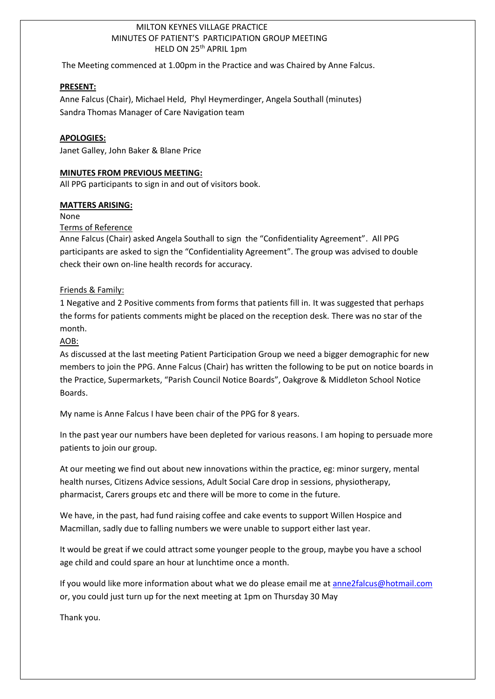## MILTON KEYNES VILLAGE PRACTICE MINUTES OF PATIENT'S PARTICIPATION GROUP MEETING HELD ON 25<sup>th</sup> APRIL 1pm

The Meeting commenced at 1.00pm in the Practice and was Chaired by Anne Falcus.

#### **PRESENT:**

Anne Falcus (Chair), Michael Held, Phyl Heymerdinger, Angela Southall (minutes) Sandra Thomas Manager of Care Navigation team

#### **APOLOGIES:**

Janet Galley, John Baker & Blane Price

#### **MINUTES FROM PREVIOUS MEETING:**

All PPG participants to sign in and out of visitors book.

## **MATTERS ARISING:**

None

## Terms of Reference

Anne Falcus (Chair) asked Angela Southall to sign the "Confidentiality Agreement". All PPG participants are asked to sign the "Confidentiality Agreement". The group was advised to double check their own on-line health records for accuracy.

## Friends & Family:

1 Negative and 2 Positive comments from forms that patients fill in. It was suggested that perhaps the forms for patients comments might be placed on the reception desk. There was no star of the month.

# AOB:

As discussed at the last meeting Patient Participation Group we need a bigger demographic for new members to join the PPG. Anne Falcus (Chair) has written the following to be put on notice boards in the Practice, Supermarkets, "Parish Council Notice Boards", Oakgrove & Middleton School Notice Boards.

My name is Anne Falcus I have been chair of the PPG for 8 years.

In the past year our numbers have been depleted for various reasons. I am hoping to persuade more patients to join our group.

At our meeting we find out about new innovations within the practice, eg: minor surgery, mental health nurses, Citizens Advice sessions, Adult Social Care drop in sessions, physiotherapy, pharmacist, Carers groups etc and there will be more to come in the future.

We have, in the past, had fund raising coffee and cake events to support Willen Hospice and Macmillan, sadly due to falling numbers we were unable to support either last year.

It would be great if we could attract some younger people to the group, maybe you have a school age child and could spare an hour at lunchtime once a month.

If you would like more information about what we do please email me at [anne2falcus@hotmail.com](mailto:anne2falcus@hotmail.com) or, you could just turn up for the next meeting at 1pm on Thursday 30 May

Thank you.